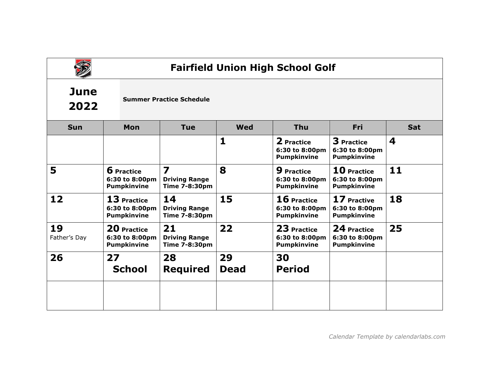

# **Fairfield Union High School Golf**

### **June 2022**

### **Summer Practice Schedule**

| <b>Sun</b>         | <b>Mon</b>                                                | <b>Tue</b>                                                              | <b>Wed</b>        | <b>Thu</b>                                                | Fri                                                       | <b>Sat</b>       |
|--------------------|-----------------------------------------------------------|-------------------------------------------------------------------------|-------------------|-----------------------------------------------------------|-----------------------------------------------------------|------------------|
|                    |                                                           |                                                                         | 1                 | 2 Practice<br>6:30 to 8:00pm<br><b>Pumpkinvine</b>        | <b>3</b> Practice<br>6:30 to 8:00pm<br><b>Pumpkinvine</b> | $\boldsymbol{4}$ |
| 5                  | <b>6</b> Practice<br>6:30 to 8:00pm<br><b>Pumpkinvine</b> | $\overline{\mathbf{z}}$<br><b>Driving Range</b><br><b>Time 7-8:30pm</b> | 8                 | <b>9</b> Practice<br>6:30 to 8:00pm<br><b>Pumpkinvine</b> | 10 Practice<br>6:30 to 8:00pm<br><b>Pumpkinvine</b>       | 11               |
| 12                 | 13 Practice<br>6:30 to 8:00pm<br><b>Pumpkinvine</b>       | 14<br><b>Driving Range</b><br>Time 7-8:30pm                             | 15                | 16 Practice<br>6:30 to 8:00pm<br><b>Pumpkinvine</b>       | 17 Practive<br>6:30 to 8:00pm<br><b>Pumpkinvine</b>       | 18               |
| 19<br>Father's Day | 20 Practice<br>6:30 to 8:00pm<br><b>Pumpkinvine</b>       | 21<br><b>Driving Range</b><br>Time 7-8:30pm                             | 22                | 23 Practice<br>6:30 to 8:00pm<br><b>Pumpkinvine</b>       | 24 Practice<br>6:30 to 8:00pm<br><b>Pumpkinvine</b>       | 25               |
| 26                 | 27<br><b>School</b>                                       | 28<br><b>Required</b>                                                   | 29<br><b>Dead</b> | 30<br><b>Period</b>                                       |                                                           |                  |
|                    |                                                           |                                                                         |                   |                                                           |                                                           |                  |

*Calendar Template by calendarlabs.com*